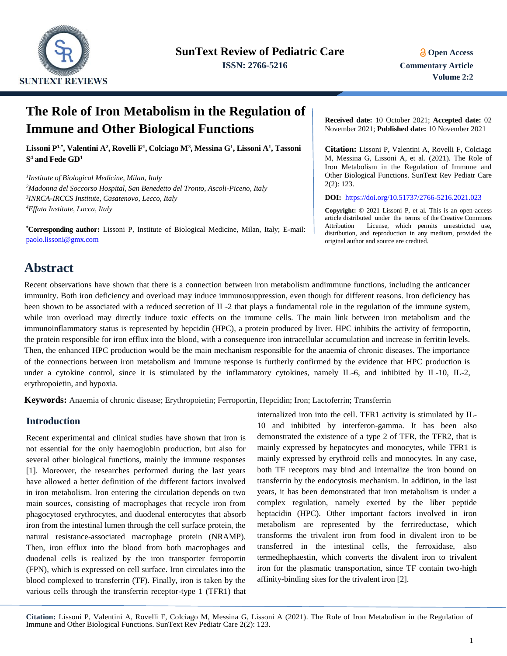

# **The Role of Iron Metabolism in the Regulation of Immune and Other Biological Functions**

**Lissoni P1,\* , Valentini A<sup>2</sup> , Rovelli F<sup>1</sup> , Colciago M<sup>3</sup> , Messina G<sup>1</sup> , Lissoni A<sup>1</sup> , Tassoni S <sup>4</sup> and Fede GD<sup>1</sup>**

 *Institute of Biological Medicine, Milan, Italy Madonna del Soccorso Hospital, San Benedetto del Tronto, Ascoli-Piceno, Italy INRCA-IRCCS Institute, Casatenovo, Lecco, Italy Effata Institute, Lucca, Italy*

**\*Corresponding author:** Lissoni P, Institute of Biological Medicine, Milan, Italy; E-mail: [paolo.lissoni@gmx.com](mailto:paolo.lissoni@gmx.com)

**Received date:** 10 October 2021; **Accepted date:** 02 November 2021; **Published date:** 10 November 2021

**Citation:** Lissoni P, Valentini A, Rovelli F, Colciago M, Messina G, Lissoni A, et al. (2021). The Role of Iron Metabolism in the Regulation of Immune and Other Biological Functions. SunText Rev Pediatr Care 2(2): 123.

**DOI:** <https://doi.org/10.51737/2766-5216.2021.023>

**Copyright:** © 2021 Lissoni P, et al. This is an open-access article distributed under the terms of the Creative Commons Attribution License, which permits unrestricted use, distribution, and reproduction in any medium, provided the original author and source are credited.

# **Abstract**

Recent observations have shown that there is a connection between iron metabolism andimmune functions, including the anticancer immunity. Both iron deficiency and overload may induce immunosuppression, even though for different reasons. Iron deficiency has been shown to be associated with a reduced secretion of IL-2 that plays a fundamental role in the regulation of the immune system, while iron overload may directly induce toxic effects on the immune cells. The main link between iron metabolism and the immunoinflammatory status is represented by hepcidin (HPC), a protein produced by liver. HPC inhibits the activity of ferroportin, the protein responsible for iron efflux into the blood, with a consequence iron intracellular accumulation and increase in ferritin levels. Then, the enhanced HPC production would be the main mechanism responsible for the anaemia of chronic diseases. The importance of the connections between iron metabolism and immune response is furtherly confirmed by the evidence that HPC production is under a cytokine control, since it is stimulated by the inflammatory cytokines, namely IL-6, and inhibited by IL-10, IL-2, erythropoietin, and hypoxia.

**Keywords:** Anaemia of chronic disease; Erythropoietin; Ferroportin, Hepcidin; Iron; Lactoferrin; Transferrin

### **Introduction**

Recent experimental and clinical studies have shown that iron is not essential for the only haemoglobin production, but also for several other biological functions, mainly the immune responses [1]. Moreover, the researches performed during the last years have allowed a better definition of the different factors involved in iron metabolism. Iron entering the circulation depends on two main sources, consisting of macrophages that recycle iron from phagocytosed erythrocytes, and duodenal enterocytes that absorb iron from the intestinal lumen through the cell surface protein, the natural resistance-associated macrophage protein (NRAMP). Then, iron efflux into the blood from both macrophages and duodenal cells is realized by the iron transporter ferroportin (FPN), which is expressed on cell surface. Iron circulates into the blood complexed to transferrin (TF). Finally, iron is taken by the various cells through the transferrin receptor-type 1 (TFR1) that internalized iron into the cell. TFR1 activity is stimulated by IL-10 and inhibited by interferon-gamma. It has been also demonstrated the existence of a type 2 of TFR, the TFR2, that is mainly expressed by hepatocytes and monocytes, while TFR1 is mainly expressed by erythroid cells and monocytes. In any case, both TF receptors may bind and internalize the iron bound on transferrin by the endocytosis mechanism. In addition, in the last years, it has been demonstrated that iron metabolism is under a complex regulation, namely exerted by the liber peptide heptacidin (HPC). Other important factors involved in iron metabolism are represented by the ferrireductase, which transforms the trivalent iron from food in divalent iron to be transferred in the intestinal cells, the ferroxidase, also termedhephaestin, which converts the divalent iron to trivalent iron for the plasmatic transportation, since TF contain two-high affinity-binding sites for the trivalent iron [2].

**Citation:** Lissoni P, Valentini A, Rovelli F, Colciago M, Messina G, Lissoni A (2021). The Role of Iron Metabolism in the Regulation of Immune and Other Biological Functions. SunText Rev Pediatr Care 2(2): 123.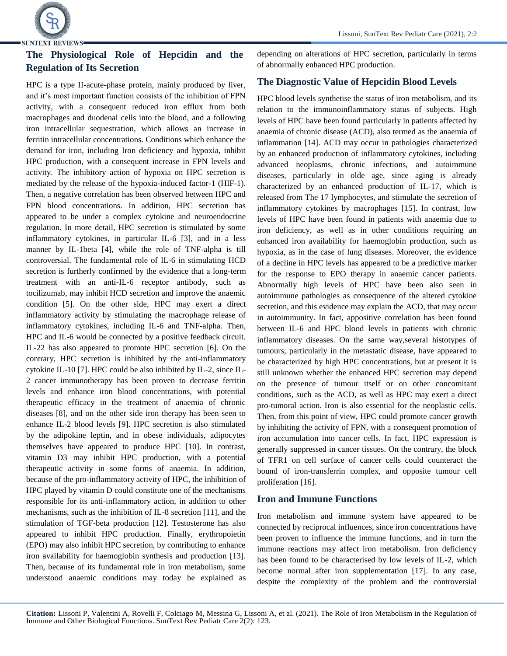

## **The Physiological Role of Hepcidin and the Regulation of Its Secretion**

HPC is a type II-acute-phase protein, mainly produced by liver, and it's most important function consists of the inhibition of FPN activity, with a consequent reduced iron efflux from both macrophages and duodenal cells into the blood, and a following iron intracellular sequestration, which allows an increase in ferritin intracellular concentrations. Conditions which enhance the demand for iron, including Iron deficiency and hypoxia, inhibit HPC production, with a consequent increase in FPN levels and activity. The inhibitory action of hypoxia on HPC secretion is mediated by the release of the hypoxia-induced factor-1 (HIF-1). Then, a negative correlation has been observed between HPC and FPN blood concentrations. In addition, HPC secretion has appeared to be under a complex cytokine and neuroendocrine regulation. In more detail, HPC secretion is stimulated by some inflammatory cytokines, in particular IL-6 [3], and in a less manner by IL-1beta [4], while the role of TNF-alpha is till controversial. The fundamental role of IL-6 in stimulating HCD secretion is furtherly confirmed by the evidence that a long-term treatment with an anti-IL-6 receptor antibody, such as tocilizumab, may inhibit HCD secretion and improve the anaemic condition [5]. On the other side, HPC may exert a direct inflammatory activity by stimulating the macrophage release of inflammatory cytokines, including IL-6 and TNF-alpha. Then, HPC and IL-6 would be connected by a positive feedback circuit. IL-22 has also appeared to promote HPC secretion [6]. On the contrary, HPC secretion is inhibited by the anti-inflammatory cytokine IL-10 [7]. HPC could be also inhibited by IL-2, since IL-2 cancer immunotherapy has been proven to decrease ferritin levels and enhance iron blood concentrations, with potential therapeutic efficacy in the treatment of anaemia of chronic diseases [8], and on the other side iron therapy has been seen to enhance IL-2 blood levels [9]. HPC secretion is also stimulated by the adipokine leptin, and in obese individuals, adipocytes themselves have appeared to produce HPC [10]. In contrast, vitamin D3 may inhibit HPC production, with a potential therapeutic activity in some forms of anaemia. In addition, because of the pro-inflammatory activity of HPC, the inhibition of HPC played by vitamin D could constitute one of the mechanisms responsible for its anti-inflammatory action, in addition to other mechanisms, such as the inhibition of IL-8 secretion [11], and the stimulation of TGF-beta production [12]. Testosterone has also appeared to inhibit HPC production. Finally, erythropoietin (EPO) may also inhibit HPC secretion, by contributing to enhance iron availability for haemoglobin synthesis and production [13]. Then, because of its fundamental role in iron metabolism, some understood anaemic conditions may today be explained as

depending on alterations of HPC secretion, particularly in terms of abnormally enhanced HPC production.

### **The Diagnostic Value of Hepcidin Blood Levels**

HPC blood levels synthetise the status of iron metabolism, and its relation to the immunoinflammatory status of subjects. High levels of HPC have been found particularly in patients affected by anaemia of chronic disease (ACD), also termed as the anaemia of inflammation [14]. ACD may occur in pathologies characterized by an enhanced production of inflammatory cytokines, including advanced neoplasms, chronic infections, and autoimmune diseases, particularly in olde age, since aging is already characterized by an enhanced production of IL-17, which is released from The 17 lymphocytes, and stimulate the secretion of inflammatory cytokines by macrophages [15]. In contrast, low levels of HPC have been found in patients with anaemia due to iron deficiency, as well as in other conditions requiring an enhanced iron availability for haemoglobin production, such as hypoxia, as in the case of lung diseases. Moreover, the evidence of a decline in HPC levels has appeared to be a predictive marker for the response to EPO therapy in anaemic cancer patients. Abnormally high levels of HPC have been also seen in autoimmune pathologies as consequence of the altered cytokine secretion, and this evidence may explain the ACD, that may occur in autoimmunity. In fact, appositive correlation has been found between IL-6 and HPC blood levels in patients with chronic inflammatory diseases. On the same way,several histotypes of tumours, particularly in the metastatic disease, have appeared to be characterized by high HPC concentrations, but at present it is still unknown whether the enhanced HPC secretion may depend on the presence of tumour itself or on other concomitant conditions, such as the ACD, as well as HPC may exert a direct pro-tumoral action. Iron is also essential for the neoplastic cells. Then, from this point of view, HPC could promote cancer growth by inhibiting the activity of FPN, with a consequent promotion of iron accumulation into cancer cells. In fact, HPC expression is generally suppressed in cancer tissues. On the contrary, the block of TFR1 on cell surface of cancer cells could counteract the bound of iron-transferrin complex, and opposite tumour cell proliferation [16].

#### **Iron and Immune Functions**

Iron metabolism and immune system have appeared to be connected by reciprocal influences, since iron concentrations have been proven to influence the immune functions, and in turn the immune reactions may affect iron metabolism. Iron deficiency has been found to be characterised by low levels of IL-2, which become normal after iron supplementation [17]. In any case, despite the complexity of the problem and the controversial

**Citation:** Lissoni P, Valentini A, Rovelli F, Colciago M, Messina G, Lissoni A, et al. (2021). The Role of Iron Metabolism in the Regulation of Immune and Other Biological Functions. SunText Rev Pediatr Care 2(2): 123.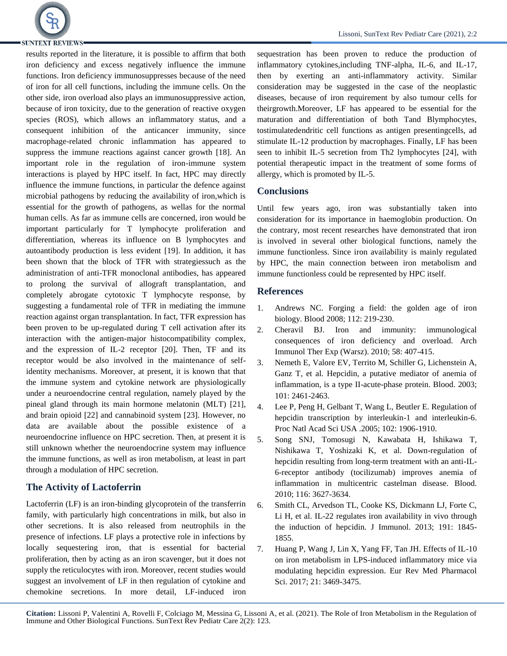

# **SUNTEXT REVIEWS-**

results reported in the literature, it is possible to affirm that both iron deficiency and excess negatively influence the immune functions. Iron deficiency immunosuppresses because of the need of iron for all cell functions, including the immune cells. On the other side, iron overload also plays an immunosuppressive action, because of iron toxicity, due to the generation of reactive oxygen species (ROS), which allows an inflammatory status, and a consequent inhibition of the anticancer immunity, since macrophage-related chronic inflammation has appeared to suppress the immune reactions against cancer growth [18]. An important role in the regulation of iron-immune system interactions is played by HPC itself. In fact, HPC may directly influence the immune functions, in particular the defence against microbial pathogens by reducing the availability of iron,which is essential for the growth of pathogens, as wellas for the normal human cells. As far as immune cells are concerned, iron would be important particularly for T lymphocyte proliferation and differentiation, whereas its influence on B lymphocytes and autoantibody production is less evident [19]. In addition, it has been shown that the block of TFR with strategiessuch as the administration of anti-TFR monoclonal antibodies, has appeared to prolong the survival of allograft transplantation, and completely abrogate cytotoxic T lymphocyte response, by suggesting a fundamental role of TFR in mediating the immune reaction against organ transplantation. In fact, TFR expression has been proven to be up-regulated during T cell activation after its interaction with the antigen-major histocompatibility complex, and the expression of IL-2 receptor [20]. Then, TF and its receptor would be also involved in the maintenance of selfidentity mechanisms. Moreover, at present, it is known that that the immune system and cytokine network are physiologically under a neuroendocrine central regulation, namely played by the

pineal gland through its main hormone melatonin (MLT) [21], and brain opioid [22] and cannabinoid system [23]. However, no data are available about the possible existence of a neuroendocrine influence on HPC secretion. Then, at present it is still unknown whether the neuroendocrine system may influence the immune functions, as well as iron metabolism, at least in part through a modulation of HPC secretion.

### **The Activity of Lactoferrin**

Lactoferrin (LF) is an iron-binding glycoprotein of the transferrin family, with particularly high concentrations in milk, but also in other secretions. It is also released from neutrophils in the presence of infections. LF plays a protective role in infections by locally sequestering iron, that is essential for bacterial proliferation, then by acting as an iron scavenger, but it does not supply the reticulocytes with iron. Moreover, recent studies would suggest an involvement of LF in then regulation of cytokine and chemokine secretions. In more detail, LF-induced iron sequestration has been proven to reduce the production of inflammatory cytokines,including TNF-alpha, IL-6, and IL-17, then by exerting an anti-inflammatory activity. Similar consideration may be suggested in the case of the neoplastic diseases, because of iron requirement by also tumour cells for theirgrowth.Moreover, LF has appeared to be essential for the maturation and differentiation of both Tand Blymphocytes, tostimulatedendritic cell functions as antigen presentingcells, ad stimulate IL-12 production by macrophages. Finally, LF has been seen to inhibit IL-5 secretion from Th2 lymphocytes [24], with potential therapeutic impact in the treatment of some forms of allergy, which is promoted by IL-5.

### **Conclusions**

Until few years ago, iron was substantially taken into consideration for its importance in haemoglobin production. On the contrary, most recent researches have demonstrated that iron is involved in several other biological functions, namely the immune functionless. Since iron availability is mainly regulated by HPC, the main connection between iron metabolism and immune functionless could be represented by HPC itself.

#### **References**

- 1. [Andrews NC. Forging a field: the golden age of iron](https://ashpublications.org/blood/article/112/2/219/24241/Forging-a-field-the-golden-age-of-iron-biology)  [biology. Blood 2008; 112: 219-230.](https://ashpublications.org/blood/article/112/2/219/24241/Forging-a-field-the-golden-age-of-iron-biology)
- 2. Cheravil [BJ. Iron and immunity: immunological](https://link.springer.com/article/10.1007%2Fs00005-010-0095-9)  [consequences of iron deficiency and overload. Arch](https://link.springer.com/article/10.1007%2Fs00005-010-0095-9)  [Immunol Ther Exp \(Warsz\). 2010; 58: 407-415.](https://link.springer.com/article/10.1007%2Fs00005-010-0095-9)
- 3. [Nemeth E, Valore EV, Territo M, Schiller G, Lichenstein A,](https://ashpublications.org/blood/article/101/7/2461/106644/Hepcidin-a-putative-mediator-of-anemia-of)  [Ganz T, et al. Hepcidin, a putative mediator of anemia of](https://ashpublications.org/blood/article/101/7/2461/106644/Hepcidin-a-putative-mediator-of-anemia-of)  [inflammation, is a type II-acute-phase protein. Blood. 2003;](https://ashpublications.org/blood/article/101/7/2461/106644/Hepcidin-a-putative-mediator-of-anemia-of)  [101: 2461-2463.](https://ashpublications.org/blood/article/101/7/2461/106644/Hepcidin-a-putative-mediator-of-anemia-of)
- 4. [Lee P, Peng H, Gelbant T, Wang L, Beutler E. Regulation of](https://www.pnas.org/content/102/6/1906.short)  hepcidin transcription by interleukin-1 and interleukin-6. [Proc Natl Acad Sci USA .2005; 102: 1906-1910.](https://www.pnas.org/content/102/6/1906.short)
- 5. [Song SNJ, Tomosugi N, Kawabata H, Ishikawa T,](https://ashpublications.org/blood/article/116/18/3627/27940/Down-regulation-of-hepcidin-resulting-from-long)  [Nishikawa T, Yoshizaki K, et al. Down-regulation of](https://ashpublications.org/blood/article/116/18/3627/27940/Down-regulation-of-hepcidin-resulting-from-long)  [hepcidin resulting from long-term treatment with an anti-IL-](https://ashpublications.org/blood/article/116/18/3627/27940/Down-regulation-of-hepcidin-resulting-from-long)[6-receptor antibody \(tocilizumab\) improves anemia of](https://ashpublications.org/blood/article/116/18/3627/27940/Down-regulation-of-hepcidin-resulting-from-long)  [inflammation in multicentric castelman disease. Blood.](https://ashpublications.org/blood/article/116/18/3627/27940/Down-regulation-of-hepcidin-resulting-from-long)  [2010; 116: 3627-3634.](https://ashpublications.org/blood/article/116/18/3627/27940/Down-regulation-of-hepcidin-resulting-from-long)
- 6. [Smith CL, Arvedson TL, Cooke KS, Dickmann LJ, Forte C,](https://www.jimmunol.org/content/191/4/1845.short)  Li H, et al. IL-22 regulates iron availability in vivo through [the induction of hepcidin. J Immunol. 2013; 191: 1845-](https://www.jimmunol.org/content/191/4/1845.short) [1855.](https://www.jimmunol.org/content/191/4/1845.short)
- 7. Huang P, Wang J, Lin X, Yang FF, Tan JH. Effects of IL-10 on iron metabolism in LPS-induced inflammatory mice via modulating hepcidin expression. Eur Rev Med Pharmacol Sci. 2017; 21: 3469-3475.

**Citation:** Lissoni P, Valentini A, Rovelli F, Colciago M, Messina G, Lissoni A, et al. (2021). The Role of Iron Metabolism in the Regulation of Immune and Other Biological Functions. SunText Rev Pediatr Care 2(2): 123.